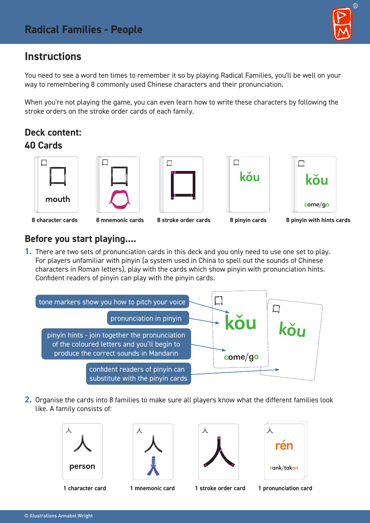# **Instructions**

You need to see a word ten times to remember it so by playing Radical Families, you'll be well on your way to remembering 8 commonly used Chinese characters and their pronunciation.

When you're not playing the game, you can even learn how to write these characters by following the stroke orders on the stroke order cards of each family.

## **Deck content: 40 Cards**











#### **8 character cards 8 mnemonic cards 8 stroke order cards 8 pinyin cards 8 pinyin with hints cards**

#### **Before you start playing....**

**1.** There are two sets of pronunciation cards in this deck and you only need to use one set to play. For players unfamiliar with pinyin (a system used in China to spell out the sounds of Chinese characters in Roman letters), play with the cards which show pinyin with pronunciation hints. Confident readers of pinyin can play with the pinyin cards.



**2.** Organise the cards into 8 families to make sure all players know what the different families look like. A family consists of:











 $\circledR$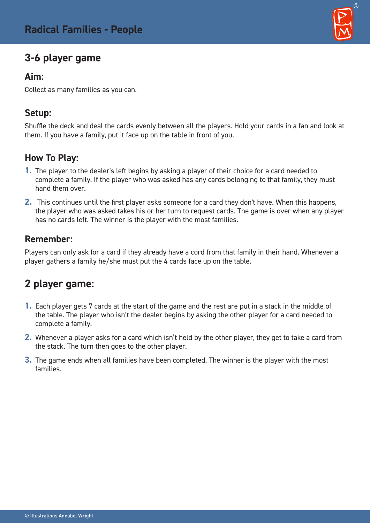# **3-6 player game**

#### **Aim:**

Collect as many families as you can.

### **Setup:**

Shuffle the deck and deal the cards evenly between all the players. Hold your cards in a fan and look at them. If you have a family, put it face up on the table in front of you.

### **How To Play:**

- **1.** The player to the dealer's left begins by asking a player of their choice for a card needed to complete a family. If the player who was asked has any cards belonging to that family, they must hand them over.
- **2.** This continues until the first player asks someone for a card they don't have. When this happens, the player who was asked takes his or her turn to request cards. The game is over when any player has no cards left. The winner is the player with the most families.

### **Remember:**

Players can only ask for a card if they already have a cord from that family in their hand. Whenever a player gathers a family he/she must put the 4 cards face up on the table.

# **2 player game:**

- **1.** Each player gets 7 cards at the start of the game and the rest are put in a stack in the middle of the table. The player who isn't the dealer begins by asking the other player for a card needed to complete a family.
- **2.** Whenever a player asks for a card which isn't held by the other player, they get to take a card from the stack. The turn then goes to the other player.
- **3.** The game ends when all families have been completed. The winner is the player with the most families.